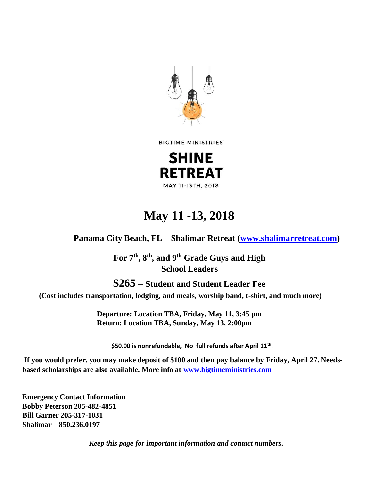

**BIGTIME MINISTRIES** 



## **May 11 -13, 2018**

**Panama City Beach, FL – Shalimar Retreat [\(www.shalimarretreat.com\)](http://www.shalimarretreat.com/)**

**For 7th, 8th, and 9th Grade Guys and High School Leaders**

**\$265 – Student and Student Leader Fee (Cost includes transportation, lodging, and meals, worship band, t-shirt, and much more)** 

> **Departure: Location TBA, Friday, May 11, 3:45 pm Return: Location TBA, Sunday, May 13, 2:00pm**

**\$50.00 is nonrefundable, No full refunds after April 11th .**

**If you would prefer, you may make deposit of \$100 and then pay balance by Friday, April 27. Needsbased scholarships are also available. More info at [www.bigtimeministries.com](http://www.bigtimeministries.com/)**

**Emergency Contact Information Bobby Peterson 205-482-4851 Bill Garner 205-317-1031 Shalimar 850.236.0197** 

*Keep this page for important information and contact numbers.*